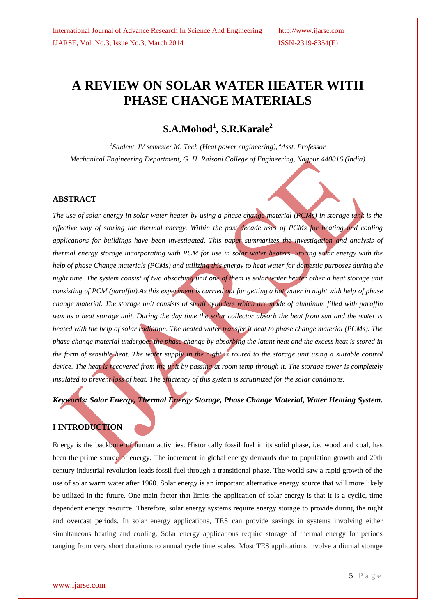# **A REVIEW ON SOLAR WATER HEATER WITH PHASE CHANGE MATERIALS**

# **S.A.Mohod<sup>1</sup> , S.R.Karale<sup>2</sup>**

*1 Student, IV semester M. Tech (Heat power engineering), <sup>2</sup>Asst. Professor Mechanical Engineering Department, G. H. Raisoni College of Engineering, Nagpur.440016 (India)*

#### **ABSTRACT**

*The use of solar energy in solar water heater by using a phase change material (PCMs) in storage tank is the effective way of storing the thermal energy. Within the past decade uses of PCMs for heating and cooling applications for buildings have been investigated. This paper summarizes the investigation and analysis of thermal energy storage incorporating with PCM for use in solar water heaters. Storing solar energy with the help of phase Change materials (PCMs) and utilizing this energy to heat water for domestic purposes during the night time. The system consist of two absorbing unit one of them is solar water heater other a heat storage unit consisting of PCM (paraffin).As this experiment is carried out for getting a hot water in night with help of phase change material. The storage unit consists of small cylinders which are made of aluminum filled with paraffin wax as a heat storage unit. During the day time the solar collector absorb the heat from sun and the water is heated with the help of solar radiation. The heated water transfer it heat to phase change material (PCMs). The phase change material undergoes the phase change by absorbing the latent heat and the excess heat is stored in the form of sensible heat. The water supply in the night is routed to the storage unit using a suitable control*  device. The heat is recovered from the unit by passing at room temp through it. The storage tower is completely *insulated to prevent loss of heat. The efficiency of this system is scrutinized for the solar conditions.*

### *Keywords: Solar Energy, Thermal Energy Storage, Phase Change Material, Water Heating System.*

#### **I INTRODUCTION**

Energy is the backbone of human activities. Historically fossil fuel in its solid phase, i.e. wood and coal, has been the prime source of energy. The increment in global energy demands due to population growth and 20th century industrial revolution leads fossil fuel through a transitional phase. The world saw a rapid growth of the use of solar warm water after 1960. Solar energy is an important alternative energy source that will more likely be utilized in the future. One main factor that limits the application of solar energy is that it is a cyclic, time dependent energy resource. Therefore, solar energy systems require energy storage to provide during the night and overcast periods. In solar energy applications, TES can provide savings in systems involving either simultaneous heating and cooling. Solar energy applications require storage of thermal energy for periods ranging from very short durations to annual cycle time scales. Most TES applications involve a diurnal storage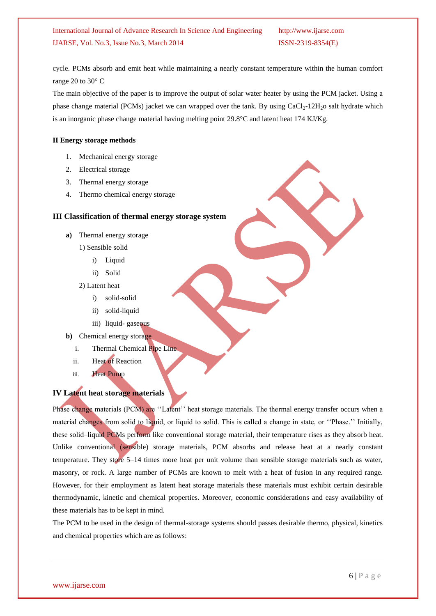cycle. PCMs absorb and emit heat while maintaining a nearly constant temperature within the human comfort range 20 to 30° C

The main objective of the paper is to improve the output of solar water heater by using the PCM jacket. Using a phase change material (PCMs) jacket we can wrapped over the tank. By using  $CaCl<sub>2</sub>-12H<sub>2</sub>$ o salt hydrate which is an inorganic phase change material having melting point 29.8°C and latent heat 174 KJ/Kg.

#### **II Energy storage methods**

- 1. Mechanical energy storage
- 2. Electrical storage
- 3. Thermal energy storage
- 4. Thermo chemical energy storage

#### **III Classification of thermal energy storage system**

- **a)** Thermal energy storage
	- 1) Sensible solid
		- i) Liquid
		- ii) Solid
	- 2) Latent heat
		- i) solid-solid
		- ii) solid-liquid
		- iii) liquid- gaseous
- **b)** Chemical energy storage
	- i. Thermal Chemical Pipe Line
	- ii. Heat of Reaction
	- iii. Heat Pump

#### **IV Latent heat storage materials**

Phase change materials (PCM) are "Latent" heat storage materials. The thermal energy transfer occurs when a material changes from solid to liquid, or liquid to solid. This is called a change in state, or ""Phase."" Initially, these solid–liquid PCMs perform like conventional storage material, their temperature rises as they absorb heat. Unlike conventional (sensible) storage materials, PCM absorbs and release heat at a nearly constant temperature. They store 5–14 times more heat per unit volume than sensible storage materials such as water, masonry, or rock. A large number of PCMs are known to melt with a heat of fusion in any required range. However, for their employment as latent heat storage materials these materials must exhibit certain desirable thermodynamic, kinetic and chemical properties. Moreover, economic considerations and easy availability of these materials has to be kept in mind.

The PCM to be used in the design of thermal-storage systems should passes desirable thermo, physical, kinetics and chemical properties which are as follows: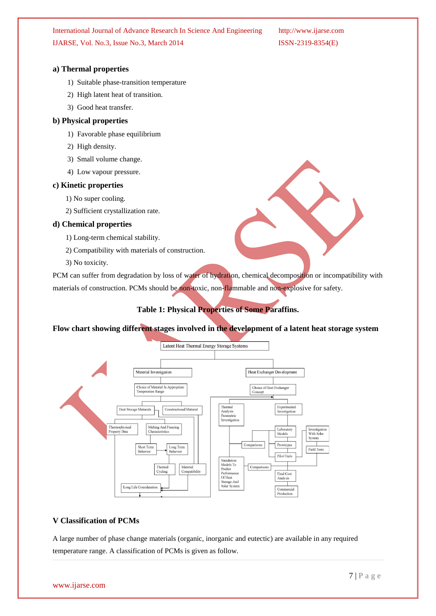#### **a) Thermal properties**

- 1) Suitable phase-transition temperature
- 2) High latent heat of transition.
- 3) Good heat transfer.

#### **b) Physical properties**

- 1) Favorable phase equilibrium
- 2) High density.
- 3) Small volume change.
- 4) Low vapour pressure.

#### **c) Kinetic properties**

- 1) No super cooling.
- 2) Sufficient crystallization rate.

#### **d) Chemical properties**

- 1) Long-term chemical stability.
- 2) Compatibility with materials of construction.
- 3) No toxicity.

PCM can suffer from degradation by loss of water of hydration, chemical decomposition or incompatibility with materials of construction. PCMs should be non-toxic, non-flammable and non-explosive for safety.

#### **Table 1: Physical Properties of Some Paraffins.**

**Flow chart showing different stages involved in the development of a latent heat storage system**



#### **V Classification of PCMs**

A large number of phase change materials (organic, inorganic and eutectic) are available in any required temperature range. A classification of PCMs is given as follow.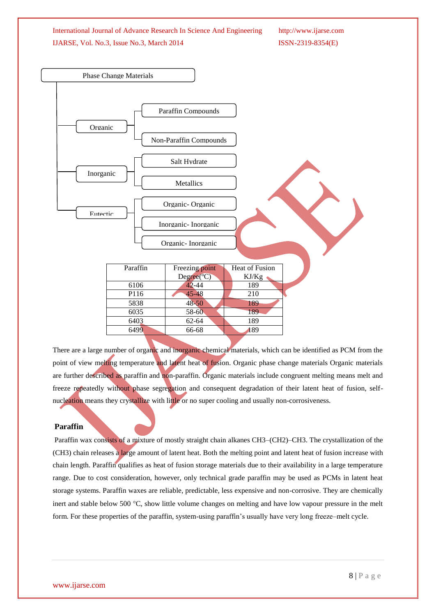

There are a large number of organic and inorganic chemical materials, which can be identified as PCM from the point of view melting temperature and latent heat of fusion. Organic phase change materials Organic materials are further described as paraffin and non-paraffin. Organic materials include congruent melting means melt and freeze repeatedly without phase segregation and consequent degradation of their latent heat of fusion, selfnucleation means they crystallize with little or no super cooling and usually non-corrosiveness.

#### **Paraffin**

Paraffin wax consists of a mixture of mostly straight chain alkanes CH3–(CH2)–CH3. The crystallization of the (CH3) chain releases a large amount of latent heat. Both the melting point and latent heat of fusion increase with chain length. Paraffin qualifies as heat of fusion storage materials due to their availability in a large temperature range. Due to cost consideration, however, only technical grade paraffin may be used as PCMs in latent heat storage systems. Paraffin waxes are reliable, predictable, less expensive and non-corrosive. They are chemically inert and stable below 500 °C, show little volume changes on melting and have low vapour pressure in the melt form. For these properties of the paraffin, system-using paraffin"s usually have very long freeze–melt cycle.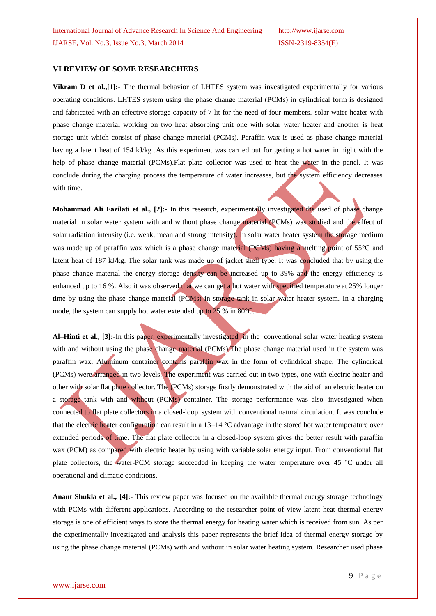#### **VI REVIEW OF SOME RESEARCHERS**

**Vikram D et al.,[1]:-** The thermal behavior of LHTES system was investigated experimentally for various operating conditions. LHTES system using the phase change material (PCMs) in cylindrical form is designed and fabricated with an effective storage capacity of 7 lit for the need of four members. solar water heater with phase change material working on two heat absorbing unit one with solar water heater and another is heat storage unit which consist of phase change material (PCMs). Paraffin wax is used as phase change material having a latent heat of 154 kJ/kg .As this experiment was carried out for getting a hot water in night with the help of phase change material (PCMs). Flat plate collector was used to heat the water in the panel. It was conclude during the charging process the temperature of water increases, but the system efficiency decreases with time.

**Mohammad Ali Fazilati et al., [2]:-** In this research, experimentally investigated the used of phase change material in solar water system with and without phase change material (PCMs) was studied and the effect of solar radiation intensity (i.e. weak, mean and strong intensity). In solar water heater system the storage medium was made up of paraffin wax which is a phase change material (PCMs) having a melting point of  $55^{\circ}$ C and latent heat of 187 kJ/kg. The solar tank was made up of jacket shell type. It was concluded that by using the phase change material the energy storage density can be increased up to 39% and the energy efficiency is enhanced up to 16 %. Also it was observed that we can get a hot water with specified temperature at 25% longer time by using the phase change material (PCMs) in storage tank in solar water heater system. In a charging mode, the system can supply hot water extended up to 25 % in 80°C.

**Al–Hinti et al., [3]:-**In this paper, experimentally investigated in the conventional solar water heating system with and without using the phase change material (PCMs). The phase change material used in the system was paraffin wax. Aluminum container contains paraffin wax in the form of cylindrical shape. The cylindrical (PCMs) were arranged in two levels. The experiment was carried out in two types, one with electric heater and other with solar flat plate collector. The (PCMs) storage firstly demonstrated with the aid of an electric heater on a storage tank with and without (PCMs) container. The storage performance was also investigated when connected to flat plate collectors in a closed-loop system with conventional natural circulation. It was conclude that the electric heater configuration can result in a 13–14 °C advantage in the stored hot water temperature over extended periods of time. The flat plate collector in a closed-loop system gives the better result with paraffin wax (PCM) as compared with electric heater by using with variable solar energy input. From conventional flat plate collectors, the water-PCM storage succeeded in keeping the water temperature over 45 °C under all operational and climatic conditions.

**Anant Shukla et al., [4]:-** This review paper was focused on the available thermal energy storage technology with PCMs with different applications. According to the researcher point of view latent heat thermal energy storage is one of efficient ways to store the thermal energy for heating water which is received from sun. As per the experimentally investigated and analysis this paper represents the brief idea of thermal energy storage by using the phase change material (PCMs) with and without in solar water heating system. Researcher used phase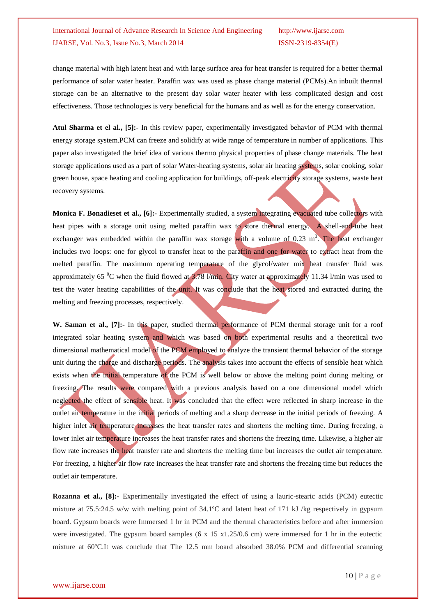change material with high latent heat and with large surface area for heat transfer is required for a better thermal performance of solar water heater. Paraffin wax was used as phase change material (PCMs).An inbuilt thermal storage can be an alternative to the present day solar water heater with less complicated design and cost effectiveness. Those technologies is very beneficial for the humans and as well as for the energy conservation.

**Atul Sharma et el al., [5]:-** In this review paper, experimentally investigated behavior of PCM with thermal energy storage system.PCM can freeze and solidify at wide range of temperature in number of applications. This paper also investigated the brief idea of various thermo physical properties of phase change materials. The heat storage applications used as a part of solar Water-heating systems, solar air heating systems, solar cooking, solar green house, space heating and cooling application for buildings, off-peak electricity storage systems, waste heat recovery systems.

**Monica F. Bonadieset et al., [6]:-** Experimentally studied, a system integrating evacuated tube collectors with heat pipes with a storage unit using melted paraffin wax to store thermal energy. A shell-and-tube heat exchanger was embedded within the paraffin wax storage with a volume of 0.23 m<sup>3</sup>. The heat exchanger includes two loops: one for glycol to transfer heat to the paraffin and one for water to extract heat from the melted paraffin. The maximum operating temperature of the glycol/water mix heat transfer fluid was approximately 65  $\degree$ C when the fluid flowed at 3.78 l/min. City water at approximately 11.34 l/min was used to test the water heating capabilities of the unit. It was conclude that the heat stored and extracted during the melting and freezing processes, respectively.

**W. Saman et al., [7]:-** In this paper, studied thermal performance of PCM thermal storage unit for a roof integrated solar heating system and which was based on both experimental results and a theoretical two dimensional mathematical model of the PCM employed to analyze the transient thermal behavior of the storage unit during the charge and discharge periods. The analysis takes into account the effects of sensible heat which exists when the initial temperature of the PCM is well below or above the melting point during melting or freezing. The results were compared with a previous analysis based on a one dimensional model which neglected the effect of sensible heat. It was concluded that the effect were reflected in sharp increase in the outlet air temperature in the initial periods of melting and a sharp decrease in the initial periods of freezing. A higher inlet air temperature increases the heat transfer rates and shortens the melting time. During freezing, a lower inlet air temperature increases the heat transfer rates and shortens the freezing time. Likewise, a higher air flow rate increases the heat transfer rate and shortens the melting time but increases the outlet air temperature. For freezing, a higher air flow rate increases the heat transfer rate and shortens the freezing time but reduces the outlet air temperature.

**Rozanna et al., [8]:-** Experimentally investigated the effect of using a lauric-stearic acids (PCM) eutectic mixture at 75.5:24.5 w/w with melting point of 34.1ºC and latent heat of 171 kJ /kg respectively in gypsum board. Gypsum boards were Immersed 1 hr in PCM and the thermal characteristics before and after immersion were investigated. The gypsum board samples  $(6 \times 15 \times 1.25/0.6 \text{ cm})$  were immersed for 1 hr in the eutectic mixture at 60ºC.It was conclude that The 12.5 mm board absorbed 38.0% PCM and differential scanning